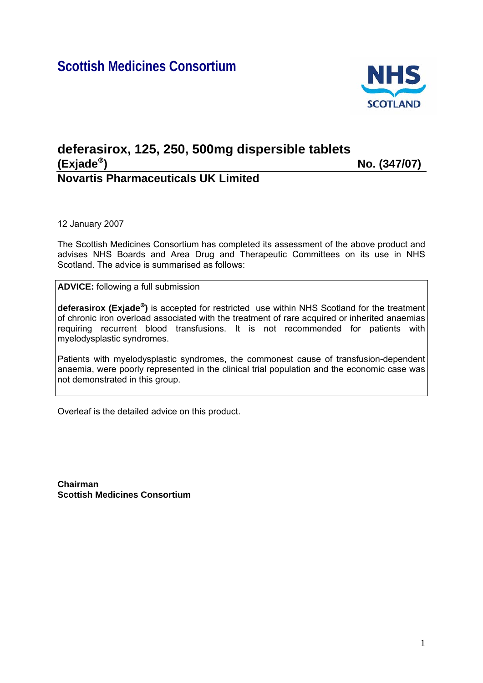# **Scottish Medicines Consortium**



# **deferasirox, 125, 250, 500mg dispersible tablets (Exjade**®**) No. (347/07) Novartis Pharmaceuticals UK Limited**

12 January 2007

The Scottish Medicines Consortium has completed its assessment of the above product and advises NHS Boards and Area Drug and Therapeutic Committees on its use in NHS Scotland. The advice is summarised as follows:

**ADVICE:** following a full submission

**deferasirox (Exjade**®**)** is accepted for restricted use within NHS Scotland for the treatment of chronic iron overload associated with the treatment of rare acquired or inherited anaemias requiring recurrent blood transfusions. It is not recommended for patients with myelodysplastic syndromes.

Patients with myelodysplastic syndromes, the commonest cause of transfusion-dependent anaemia, were poorly represented in the clinical trial population and the economic case was not demonstrated in this group.

Overleaf is the detailed advice on this product.

**Chairman Scottish Medicines Consortium**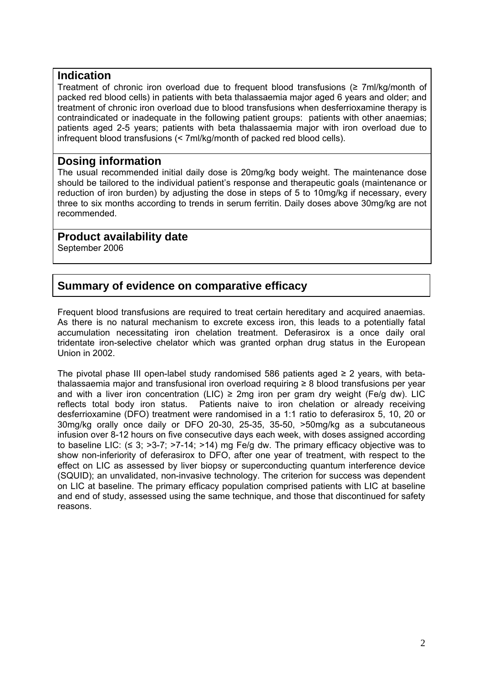#### **Indication**

Treatment of chronic iron overload due to frequent blood transfusions (≥ 7ml/kg/month of packed red blood cells) in patients with beta thalassaemia major aged 6 years and older; and treatment of chronic iron overload due to blood transfusions when desferrioxamine therapy is contraindicated or inadequate in the following patient groups: patients with other anaemias; patients aged 2-5 years; patients with beta thalassaemia major with iron overload due to infrequent blood transfusions (< 7ml/kg/month of packed red blood cells).

#### **Dosing information**

The usual recommended initial daily dose is 20mg/kg body weight. The maintenance dose should be tailored to the individual patient's response and therapeutic goals (maintenance or reduction of iron burden) by adjusting the dose in steps of 5 to 10mg/kg if necessary, every three to six months according to trends in serum ferritin. Daily doses above 30mg/kg are not recommended.

#### **Product availability date**

September 2006

### **Summary of evidence on comparative efficacy**

Frequent blood transfusions are required to treat certain hereditary and acquired anaemias. As there is no natural mechanism to excrete excess iron, this leads to a potentially fatal accumulation necessitating iron chelation treatment. Deferasirox is a once daily oral tridentate iron-selective chelator which was granted orphan drug status in the European Union in 2002.

The pivotal phase III open-label study randomised 586 patients aged  $\geq 2$  years, with betathalassaemia major and transfusional iron overload requiring ≥ 8 blood transfusions per year and with a liver iron concentration (LIC)  $\geq$  2mg iron per gram dry weight (Fe/g dw). LIC reflects total body iron status. Patients naive to iron chelation or already receiving desferrioxamine (DFO) treatment were randomised in a 1:1 ratio to deferasirox 5, 10, 20 or 30mg/kg orally once daily or DFO 20-30, 25-35, 35-50, >50mg/kg as a subcutaneous infusion over 8-12 hours on five consecutive days each week, with doses assigned according to baseline LIC:  $( \leq 3; >3-7; >7-14; >14)$  mg Fe/g dw. The primary efficacy objective was to show non-inferiority of deferasirox to DFO, after one year of treatment, with respect to the effect on LIC as assessed by liver biopsy or superconducting quantum interference device (SQUID); an unvalidated, non-invasive technology. The criterion for success was dependent on LIC at baseline. The primary efficacy population comprised patients with LIC at baseline and end of study, assessed using the same technique, and those that discontinued for safety reasons.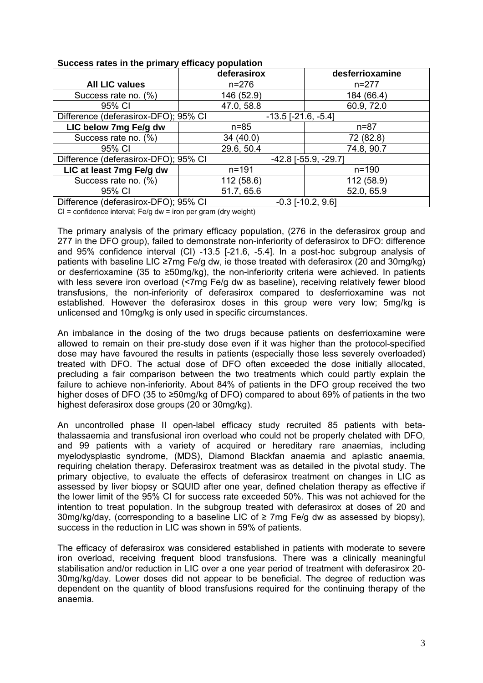| <u>oassoos ratoo in the primary onloasy population</u>             |                               |                 |  |
|--------------------------------------------------------------------|-------------------------------|-----------------|--|
|                                                                    | deferasirox                   | desferrioxamine |  |
| <b>All LIC values</b>                                              | $n = 276$                     | $n = 277$       |  |
| Success rate no. (%)                                               | 146 (52.9)                    | 184 (66.4)      |  |
| 95% CI                                                             | 47.0, 58.8                    | 60.9, 72.0      |  |
| Difference (deferasirox-DFO); 95% CI                               | $-13.5$ [ $-21.6$ , $-5.4$ ]  |                 |  |
| LIC below 7mg Fe/g dw                                              | $n = 85$                      | $n = 87$        |  |
| Success rate no. (%)                                               | 34(40.0)                      | 72 (82.8)       |  |
| 95% CI                                                             | 29.6, 50.4                    | 74.8, 90.7      |  |
| Difference (deferasirox-DFO); 95% CI                               | $-42.8$ [ $-55.9$ , $-29.7$ ] |                 |  |
| LIC at least 7mg Fe/g dw                                           | $n = 191$                     | $n = 190$       |  |
| Success rate no. (%)                                               | 112 (58.6)                    | 112 (58.9)      |  |
| 95% CI                                                             | 51.7, 65.6                    | 52.0, 65.9      |  |
| Difference (deferasirox-DFO); 95% CI<br>$-0.3$ [ $-10.2$ , $9.6$ ] |                               |                 |  |

#### **Success rates in the primary efficacy population**

 $Cl =$  confidence interval; Fe/g dw = iron per gram (dry weight)

The primary analysis of the primary efficacy population, (276 in the deferasirox group and 277 in the DFO group), failed to demonstrate non-inferiority of deferasirox to DFO: difference and 95% confidence interval (CI) -13.5 [-21.6, -5.4]. In a post-hoc subgroup analysis of patients with baseline LIC ≥7mg Fe/g dw, ie those treated with deferasirox (20 and 30mg/kg) or desferrioxamine (35 to ≥50mg/kg), the non-inferiority criteria were achieved. In patients with less severe iron overload (<7mg Fe/g dw as baseline), receiving relatively fewer blood transfusions, the non-inferiority of deferasirox compared to desferrioxamine was not established. However the deferasirox doses in this group were very low; 5mg/kg is unlicensed and 10mg/kg is only used in specific circumstances.

An imbalance in the dosing of the two drugs because patients on desferrioxamine were allowed to remain on their pre-study dose even if it was higher than the protocol-specified dose may have favoured the results in patients (especially those less severely overloaded) treated with DFO. The actual dose of DFO often exceeded the dose initially allocated, precluding a fair comparison between the two treatments which could partly explain the failure to achieve non-inferiority. About 84% of patients in the DFO group received the two higher doses of DFO (35 to ≥50mg/kg of DFO) compared to about 69% of patients in the two highest deferasirox dose groups (20 or 30mg/kg).

An uncontrolled phase II open-label efficacy study recruited 85 patients with betathalassaemia and transfusional iron overload who could not be properly chelated with DFO, and 99 patients with a variety of acquired or hereditary rare anaemias, including myelodysplastic syndrome, (MDS), Diamond Blackfan anaemia and aplastic anaemia, requiring chelation therapy. Deferasirox treatment was as detailed in the pivotal study. The primary objective, to evaluate the effects of deferasirox treatment on changes in LIC as assessed by liver biopsy or SQUID after one year, defined chelation therapy as effective if the lower limit of the 95% CI for success rate exceeded 50%. This was not achieved for the intention to treat population. In the subgroup treated with deferasirox at doses of 20 and 30mg/kg/day, (corresponding to a baseline LIC of  $\geq$  7mg Fe/g dw as assessed by biopsy), success in the reduction in LIC was shown in 59% of patients.

The efficacy of deferasirox was considered established in patients with moderate to severe iron overload, receiving frequent blood transfusions. There was a clinically meaningful stabilisation and/or reduction in LIC over a one year period of treatment with deferasirox 20- 30mg/kg/day. Lower doses did not appear to be beneficial. The degree of reduction was dependent on the quantity of blood transfusions required for the continuing therapy of the anaemia.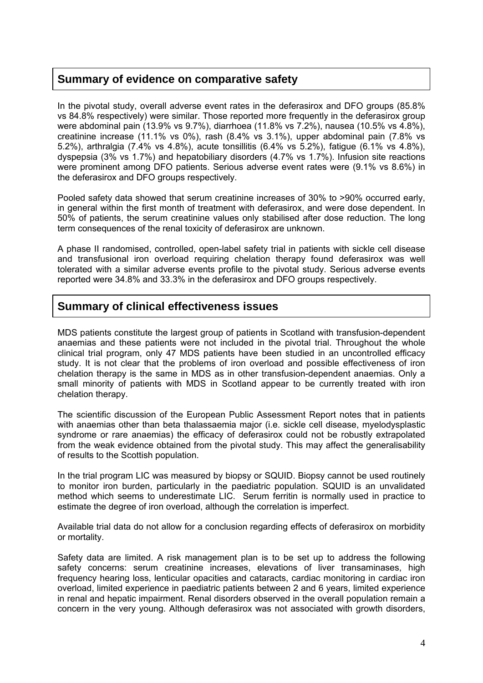### **Summary of evidence on comparative safety**

In the pivotal study, overall adverse event rates in the deferasirox and DFO groups (85.8% vs 84.8% respectively) were similar. Those reported more frequently in the deferasirox group were abdominal pain (13.9% vs 9.7%), diarrhoea (11.8% vs 7.2%), nausea (10.5% vs 4.8%), creatinine increase (11.1% vs 0%), rash (8.4% vs 3.1%), upper abdominal pain (7.8% vs 5.2%), arthralgia (7.4% vs 4.8%), acute tonsillitis (6.4% vs 5.2%), fatigue (6.1% vs 4.8%), dyspepsia (3% vs 1.7%) and hepatobiliary disorders (4.7% vs 1.7%). Infusion site reactions were prominent among DFO patients. Serious adverse event rates were (9.1% vs 8.6%) in the deferasirox and DFO groups respectively.

Pooled safety data showed that serum creatinine increases of 30% to >90% occurred early, in general within the first month of treatment with deferasirox, and were dose dependent. In 50% of patients, the serum creatinine values only stabilised after dose reduction. The long term consequences of the renal toxicity of deferasirox are unknown.

A phase II randomised, controlled, open-label safety trial in patients with sickle cell disease and transfusional iron overload requiring chelation therapy found deferasirox was well tolerated with a similar adverse events profile to the pivotal study. Serious adverse events reported were 34.8% and 33.3% in the deferasirox and DFO groups respectively.

### **Summary of clinical effectiveness issues**

MDS patients constitute the largest group of patients in Scotland with transfusion-dependent anaemias and these patients were not included in the pivotal trial. Throughout the whole clinical trial program, only 47 MDS patients have been studied in an uncontrolled efficacy study. It is not clear that the problems of iron overload and possible effectiveness of iron chelation therapy is the same in MDS as in other transfusion-dependent anaemias. Only a small minority of patients with MDS in Scotland appear to be currently treated with iron chelation therapy.

The scientific discussion of the European Public Assessment Report notes that in patients with anaemias other than beta thalassaemia major (i.e. sickle cell disease, myelodysplastic syndrome or rare anaemias) the efficacy of deferasirox could not be robustly extrapolated from the weak evidence obtained from the pivotal study. This may affect the generalisability of results to the Scottish population.

In the trial program LIC was measured by biopsy or SQUID. Biopsy cannot be used routinely to monitor iron burden, particularly in the paediatric population. SQUID is an unvalidated method which seems to underestimate LIC. Serum ferritin is normally used in practice to estimate the degree of iron overload, although the correlation is imperfect.

Available trial data do not allow for a conclusion regarding effects of deferasirox on morbidity or mortality.

Safety data are limited. A risk management plan is to be set up to address the following safety concerns: serum creatinine increases, elevations of liver transaminases, high frequency hearing loss, lenticular opacities and cataracts, cardiac monitoring in cardiac iron overload, limited experience in paediatric patients between 2 and 6 years, limited experience in renal and hepatic impairment. Renal disorders observed in the overall population remain a concern in the very young. Although deferasirox was not associated with growth disorders,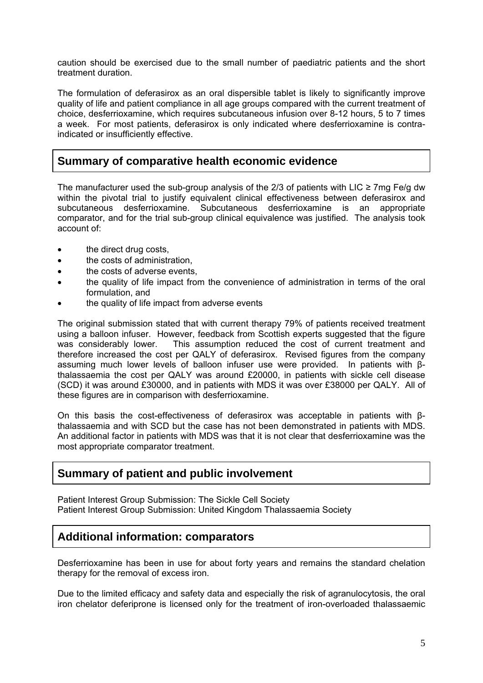caution should be exercised due to the small number of paediatric patients and the short treatment duration.

The formulation of deferasirox as an oral dispersible tablet is likely to significantly improve quality of life and patient compliance in all age groups compared with the current treatment of choice, desferrioxamine, which requires subcutaneous infusion over 8-12 hours, 5 to 7 times a week. For most patients, deferasirox is only indicated where desferrioxamine is contraindicated or insufficiently effective.

### **Summary of comparative health economic evidence**

The manufacturer used the sub-group analysis of the 2/3 of patients with LIC  $\geq$  7mg Fe/g dw within the pivotal trial to justify equivalent clinical effectiveness between deferasirox and subcutaneous desferrioxamine. Subcutaneous desferrioxamine is an appropriate comparator, and for the trial sub-group clinical equivalence was justified. The analysis took account of:

- the direct drug costs.
- the costs of administration,
- the costs of adverse events,
- the quality of life impact from the convenience of administration in terms of the oral formulation, and
- the quality of life impact from adverse events

The original submission stated that with current therapy 79% of patients received treatment using a balloon infuser. However, feedback from Scottish experts suggested that the figure was considerably lower. This assumption reduced the cost of current treatment and therefore increased the cost per QALY of deferasirox. Revised figures from the company assuming much lower levels of balloon infuser use were provided. In patients with βthalassaemia the cost per QALY was around £20000, in patients with sickle cell disease (SCD) it was around £30000, and in patients with MDS it was over £38000 per QALY. All of these figures are in comparison with desferrioxamine.

On this basis the cost-effectiveness of deferasirox was acceptable in patients with βthalassaemia and with SCD but the case has not been demonstrated in patients with MDS. An additional factor in patients with MDS was that it is not clear that desferrioxamine was the most appropriate comparator treatment.

### **Summary of patient and public involvement**

Patient Interest Group Submission: The Sickle Cell Society Patient Interest Group Submission: United Kingdom Thalassaemia Society

### **Additional information: comparators**

Desferrioxamine has been in use for about forty years and remains the standard chelation therapy for the removal of excess iron.

Due to the limited efficacy and safety data and especially the risk of agranulocytosis, the oral iron chelator deferiprone is licensed only for the treatment of iron-overloaded thalassaemic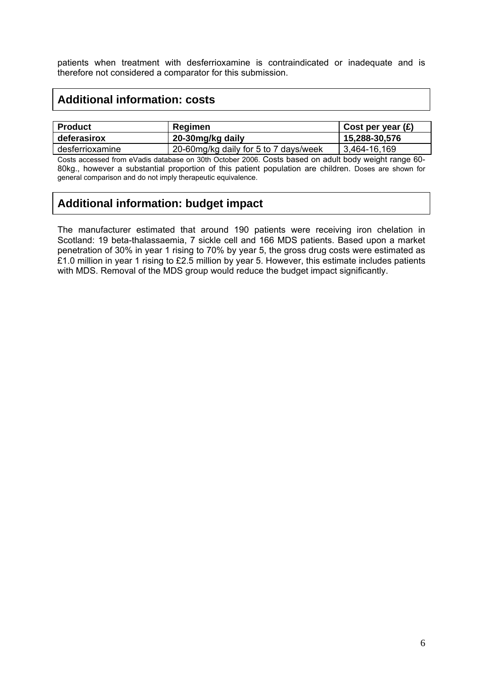patients when treatment with desferrioxamine is contraindicated or inadequate and is therefore not considered a comparator for this submission.

## **Additional information: costs**

| <b>Product</b>  | Regimen                               | Cost per year $(E)$ |
|-----------------|---------------------------------------|---------------------|
| deferasirox     | 20-30mg/kg daily                      | 15,288-30,576       |
| desferrioxamine | 20-60mg/kg daily for 5 to 7 days/week | $ 3,464-16,169$     |

Costs accessed from eVadis database on 30th October 2006. Costs based on adult body weight range 60- 80kg., however a substantial proportion of this patient population are children. Doses are shown for general comparison and do not imply therapeutic equivalence.

# **Additional information: budget impact**

The manufacturer estimated that around 190 patients were receiving iron chelation in Scotland: 19 beta-thalassaemia, 7 sickle cell and 166 MDS patients. Based upon a market penetration of 30% in year 1 rising to 70% by year 5, the gross drug costs were estimated as £1.0 million in year 1 rising to £2.5 million by year 5. However, this estimate includes patients with MDS. Removal of the MDS group would reduce the budget impact significantly.